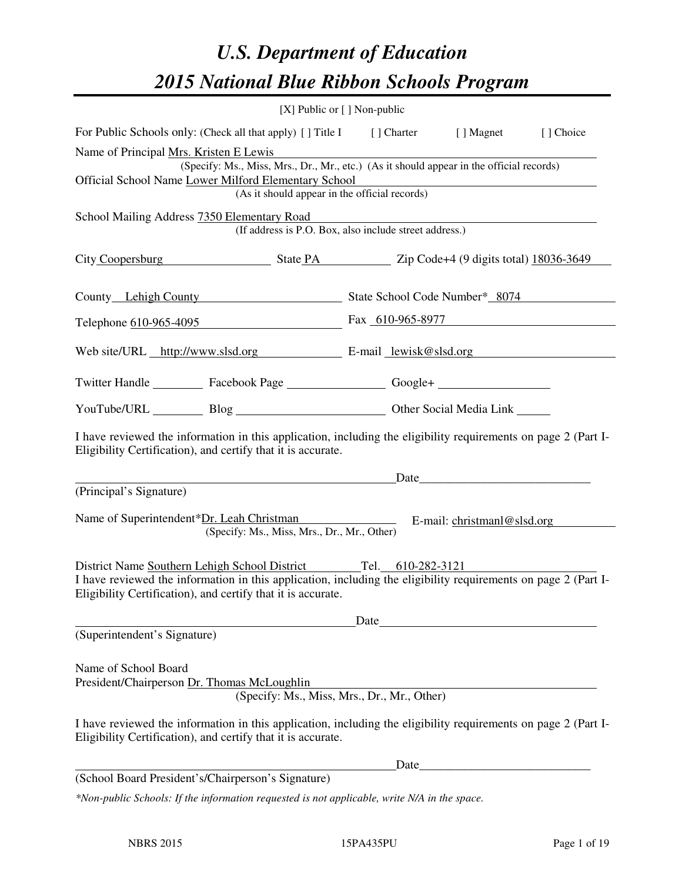# *U.S. Department of Education 2015 National Blue Ribbon Schools Program*

| [X] Public or $[$ ] Non-public                                                                                                                                                                                                                    |      |       |                                                                                                                        |  |  |  |  |
|---------------------------------------------------------------------------------------------------------------------------------------------------------------------------------------------------------------------------------------------------|------|-------|------------------------------------------------------------------------------------------------------------------------|--|--|--|--|
| For Public Schools only: (Check all that apply) [] Title I [] Charter [] Magnet<br>[] Choice                                                                                                                                                      |      |       |                                                                                                                        |  |  |  |  |
| Name of Principal Mrs. Kristen E Lewis<br>(Specify: Ms., Miss, Mrs., Dr., Mr., etc.) (As it should appear in the official records)<br>Official School Name Lower Milford Elementary School<br>(As it should appear in the official records)       |      |       | <u> 1980 - Johann Stoff, deutscher Stoffen und der Stoffen und der Stoffen und der Stoffen und der Stoffen und der</u> |  |  |  |  |
| School Mailing Address 7350 Elementary Road<br>(If address is P.O. Box, also include street address.)                                                                                                                                             |      |       |                                                                                                                        |  |  |  |  |
| City Coopersburg State PA Zip Code+4 (9 digits total) 18036-3649                                                                                                                                                                                  |      |       |                                                                                                                        |  |  |  |  |
| County Lehigh County State School Code Number* 8074                                                                                                                                                                                               |      |       |                                                                                                                        |  |  |  |  |
| Telephone 610-965-4095 Fax 610-965-8977                                                                                                                                                                                                           |      |       |                                                                                                                        |  |  |  |  |
| Web site/URL http://www.slsd.org E-mail lewisk@slsd.org                                                                                                                                                                                           |      |       |                                                                                                                        |  |  |  |  |
| Twitter Handle ___________ Facebook Page ___________________ Google+ ____________                                                                                                                                                                 |      |       |                                                                                                                        |  |  |  |  |
| YouTube/URL Blog Blog Discount Cher Social Media Link                                                                                                                                                                                             |      |       |                                                                                                                        |  |  |  |  |
| I have reviewed the information in this application, including the eligibility requirements on page 2 (Part I-<br>Eligibility Certification), and certify that it is accurate.                                                                    |      |       |                                                                                                                        |  |  |  |  |
| Date                                                                                                                                                                                                                                              |      |       |                                                                                                                        |  |  |  |  |
| (Principal's Signature)<br>Name of Superintendent*Dr. Leah Christman<br>(Specify: Ms., Miss, Mrs., Dr., Mr., Other)                                                                                                                               |      |       | E-mail: christmanl@slsd.org                                                                                            |  |  |  |  |
| District Name Southern Lehigh School District Tel. 610-282-3121<br>I have reviewed the information in this application, including the eligibility requirements on page 2 (Part I-<br>Eligibility Certification), and certify that it is accurate. |      |       |                                                                                                                        |  |  |  |  |
|                                                                                                                                                                                                                                                   | Date |       |                                                                                                                        |  |  |  |  |
| (Superintendent's Signature)                                                                                                                                                                                                                      |      |       |                                                                                                                        |  |  |  |  |
| Name of School Board<br>President/Chairperson Dr. Thomas McLoughlin<br>(Specify: Ms., Miss, Mrs., Dr., Mr., Other)                                                                                                                                |      |       |                                                                                                                        |  |  |  |  |
| I have reviewed the information in this application, including the eligibility requirements on page 2 (Part I-<br>Eligibility Certification), and certify that it is accurate.                                                                    |      |       |                                                                                                                        |  |  |  |  |
|                                                                                                                                                                                                                                                   |      | Date_ |                                                                                                                        |  |  |  |  |
| (School Board President's/Chairperson's Signature)                                                                                                                                                                                                |      |       |                                                                                                                        |  |  |  |  |
| *Non-public Schools: If the information requested is not applicable, write N/A in the space.                                                                                                                                                      |      |       |                                                                                                                        |  |  |  |  |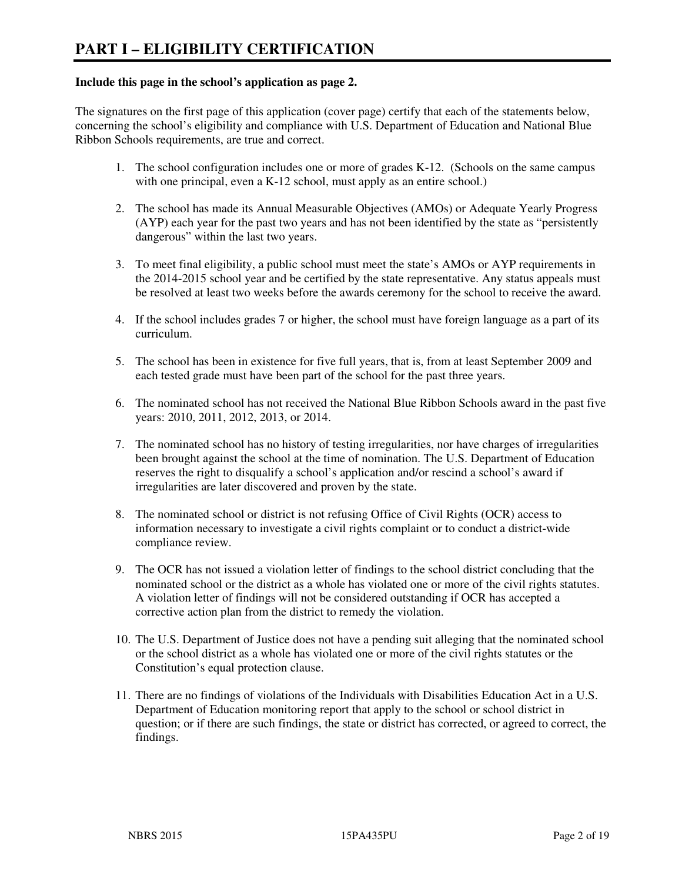#### **Include this page in the school's application as page 2.**

The signatures on the first page of this application (cover page) certify that each of the statements below, concerning the school's eligibility and compliance with U.S. Department of Education and National Blue Ribbon Schools requirements, are true and correct.

- 1. The school configuration includes one or more of grades K-12. (Schools on the same campus with one principal, even a K-12 school, must apply as an entire school.)
- 2. The school has made its Annual Measurable Objectives (AMOs) or Adequate Yearly Progress (AYP) each year for the past two years and has not been identified by the state as "persistently dangerous" within the last two years.
- 3. To meet final eligibility, a public school must meet the state's AMOs or AYP requirements in the 2014-2015 school year and be certified by the state representative. Any status appeals must be resolved at least two weeks before the awards ceremony for the school to receive the award.
- 4. If the school includes grades 7 or higher, the school must have foreign language as a part of its curriculum.
- 5. The school has been in existence for five full years, that is, from at least September 2009 and each tested grade must have been part of the school for the past three years.
- 6. The nominated school has not received the National Blue Ribbon Schools award in the past five years: 2010, 2011, 2012, 2013, or 2014.
- 7. The nominated school has no history of testing irregularities, nor have charges of irregularities been brought against the school at the time of nomination. The U.S. Department of Education reserves the right to disqualify a school's application and/or rescind a school's award if irregularities are later discovered and proven by the state.
- 8. The nominated school or district is not refusing Office of Civil Rights (OCR) access to information necessary to investigate a civil rights complaint or to conduct a district-wide compliance review.
- 9. The OCR has not issued a violation letter of findings to the school district concluding that the nominated school or the district as a whole has violated one or more of the civil rights statutes. A violation letter of findings will not be considered outstanding if OCR has accepted a corrective action plan from the district to remedy the violation.
- 10. The U.S. Department of Justice does not have a pending suit alleging that the nominated school or the school district as a whole has violated one or more of the civil rights statutes or the Constitution's equal protection clause.
- 11. There are no findings of violations of the Individuals with Disabilities Education Act in a U.S. Department of Education monitoring report that apply to the school or school district in question; or if there are such findings, the state or district has corrected, or agreed to correct, the findings.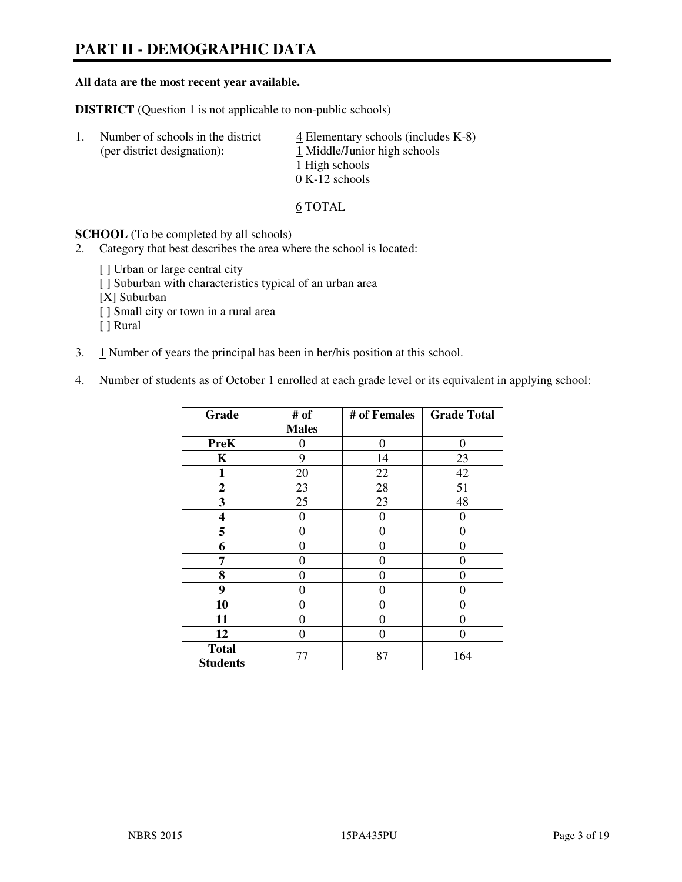## **PART II - DEMOGRAPHIC DATA**

#### **All data are the most recent year available.**

**DISTRICT** (Question 1 is not applicable to non-public schools)

| -1. | Number of schools in the district<br>(per district designation): | $\overline{4}$ Elementary schools (includes K-8)<br>1 Middle/Junior high schools |
|-----|------------------------------------------------------------------|----------------------------------------------------------------------------------|
|     |                                                                  | 1 High schools                                                                   |
|     |                                                                  | $0 K-12$ schools                                                                 |

6 TOTAL

**SCHOOL** (To be completed by all schools)

- 2. Category that best describes the area where the school is located:
	- [] Urban or large central city
	- [ ] Suburban with characteristics typical of an urban area
	- [X] Suburban
	- [ ] Small city or town in a rural area
	- [ ] Rural
- 3. 1 Number of years the principal has been in her/his position at this school.
- 4. Number of students as of October 1 enrolled at each grade level or its equivalent in applying school:

| Grade                           | # of         | # of Females     | <b>Grade Total</b> |
|---------------------------------|--------------|------------------|--------------------|
|                                 | <b>Males</b> |                  |                    |
| <b>PreK</b>                     | 0            | $\boldsymbol{0}$ | $\theta$           |
| K                               | 9            | 14               | 23                 |
| 1                               | 20           | 22               | 42                 |
| $\boldsymbol{2}$                | 23           | 28               | 51                 |
| 3                               | 25           | 23               | 48                 |
| 4                               | 0            | $\theta$         | 0                  |
| 5                               | $\theta$     | $\theta$         | $\theta$           |
| 6                               | 0            | $\Omega$         | 0                  |
| 7                               | 0            | 0                | 0                  |
| 8                               | 0            | 0                | 0                  |
| 9                               | $\theta$     | 0                | 0                  |
| 10                              | 0            | 0                | 0                  |
| 11                              | 0            | 0                | 0                  |
| 12                              | 0            | 0                | 0                  |
| <b>Total</b><br><b>Students</b> | 77           | 87               | 164                |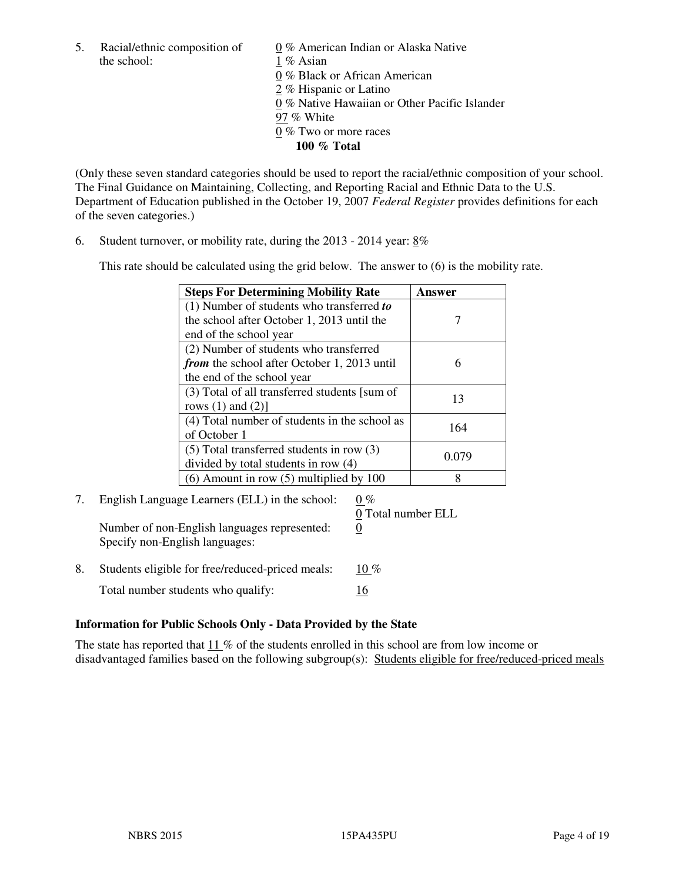5. Racial/ethnic composition of  $0\%$  American Indian or Alaska Native the school: 1 % Asian

 0 % Black or African American 2 % Hispanic or Latino 0 % Native Hawaiian or Other Pacific Islander 97 % White 0 % Two or more races **100 % Total** 

(Only these seven standard categories should be used to report the racial/ethnic composition of your school. The Final Guidance on Maintaining, Collecting, and Reporting Racial and Ethnic Data to the U.S. Department of Education published in the October 19, 2007 *Federal Register* provides definitions for each of the seven categories.)

6. Student turnover, or mobility rate, during the 2013 - 2014 year: 8%

This rate should be calculated using the grid below. The answer to (6) is the mobility rate.

| <b>Steps For Determining Mobility Rate</b>         | Answer |
|----------------------------------------------------|--------|
| $(1)$ Number of students who transferred to        |        |
| the school after October 1, 2013 until the         |        |
| end of the school year                             |        |
| (2) Number of students who transferred             |        |
| <i>from</i> the school after October 1, 2013 until | 6      |
| the end of the school year                         |        |
| (3) Total of all transferred students [sum of      | 13     |
| rows $(1)$ and $(2)$ ]                             |        |
| (4) Total number of students in the school as      | 164    |
| of October 1                                       |        |
| $(5)$ Total transferred students in row $(3)$      | 0.079  |
| divided by total students in row (4)               |        |
| $(6)$ Amount in row $(5)$ multiplied by 100        | 8      |

## 7. English Language Learners (ELL) in the school:  $0\%$

Number of non-English languages represented: 0 Specify non-English languages:

0 Total number ELL

8. Students eligible for free/reduced-priced meals:  $10\%$ Total number students who qualify: 16

#### **Information for Public Schools Only - Data Provided by the State**

The state has reported that  $11\%$  of the students enrolled in this school are from low income or disadvantaged families based on the following subgroup(s): Students eligible for free/reduced-priced meals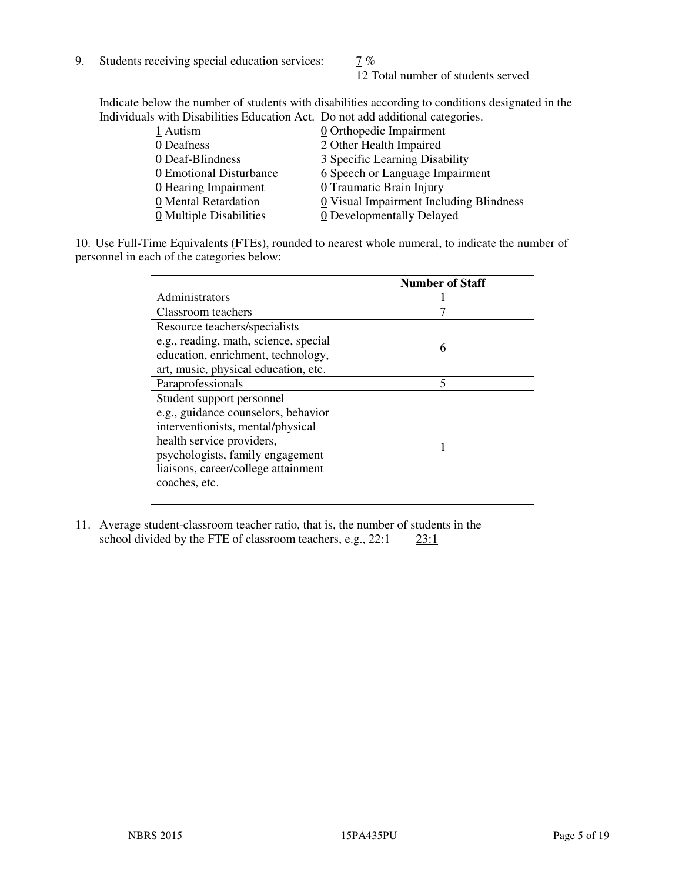9. Students receiving special education services:  $\frac{7}{6}$ 

12 Total number of students served

Indicate below the number of students with disabilities according to conditions designated in the Individuals with Disabilities Education Act. Do not add additional categories.

| 1 Autism                           | 0 Orthopedic Impairment                 |
|------------------------------------|-----------------------------------------|
| 0 Deafness                         | 2 Other Health Impaired                 |
| 0 Deaf-Blindness                   | 3 Specific Learning Disability          |
| 0 Emotional Disturbance            | 6 Speech or Language Impairment         |
| $\underline{0}$ Hearing Impairment | 0 Traumatic Brain Injury                |
| 0 Mental Retardation               | 0 Visual Impairment Including Blindness |
| 0 Multiple Disabilities            | 0 Developmentally Delayed               |
|                                    |                                         |

10. Use Full-Time Equivalents (FTEs), rounded to nearest whole numeral, to indicate the number of personnel in each of the categories below:

|                                       | <b>Number of Staff</b> |
|---------------------------------------|------------------------|
| Administrators                        |                        |
| Classroom teachers                    |                        |
| Resource teachers/specialists         |                        |
| e.g., reading, math, science, special | 6                      |
| education, enrichment, technology,    |                        |
| art, music, physical education, etc.  |                        |
| Paraprofessionals                     | 5                      |
| Student support personnel             |                        |
| e.g., guidance counselors, behavior   |                        |
| interventionists, mental/physical     |                        |
| health service providers,             |                        |
| psychologists, family engagement      |                        |
| liaisons, career/college attainment   |                        |
| coaches, etc.                         |                        |
|                                       |                        |

11. Average student-classroom teacher ratio, that is, the number of students in the school divided by the FTE of classroom teachers, e.g.,  $22:1$   $23:1$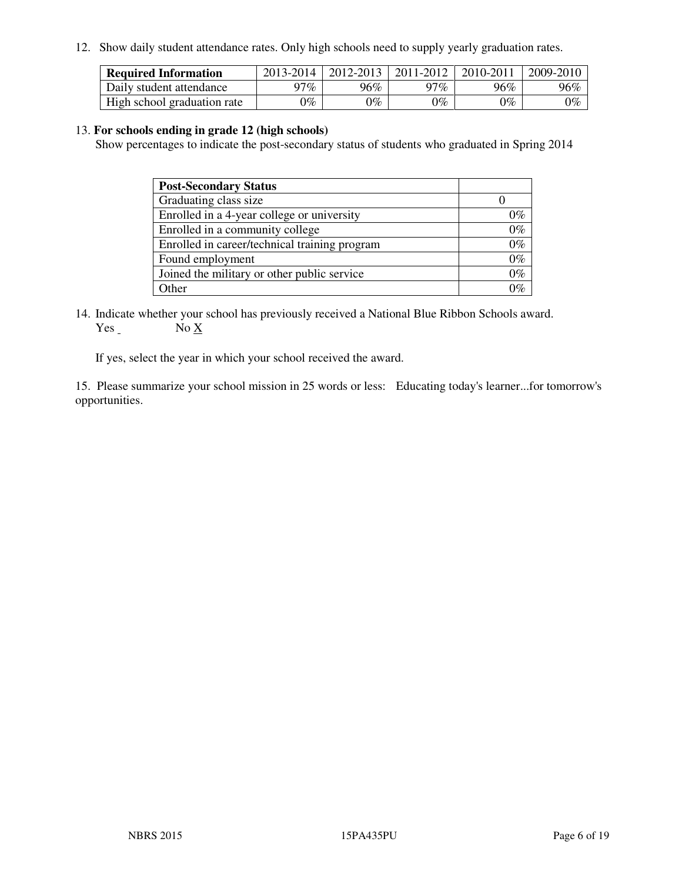12. Show daily student attendance rates. Only high schools need to supply yearly graduation rates.

| <b>Required Information</b> | 2013-2014 | 2012-2013 | 2011-2012 | 2010-2011 | 2009-2010 |
|-----------------------------|-----------|-----------|-----------|-----------|-----------|
| Daily student attendance    | າ $7\%$   | 96%       | 97%       | 96%       | 96%       |
| High school graduation rate | 9%        | $0\%$     | $0\%$     | 0%        | $0\%$     |

#### 13. **For schools ending in grade 12 (high schools)**

Show percentages to indicate the post-secondary status of students who graduated in Spring 2014

| <b>Post-Secondary Status</b>                  |       |
|-----------------------------------------------|-------|
| Graduating class size                         |       |
| Enrolled in a 4-year college or university    | በ‰    |
| Enrolled in a community college               | $0\%$ |
| Enrolled in career/technical training program | $0\%$ |
| Found employment                              | $0\%$ |
| Joined the military or other public service   | 0%    |
| Other                                         |       |

14. Indicate whether your school has previously received a National Blue Ribbon Schools award. Yes No X

If yes, select the year in which your school received the award.

15. Please summarize your school mission in 25 words or less: Educating today's learner...for tomorrow's opportunities.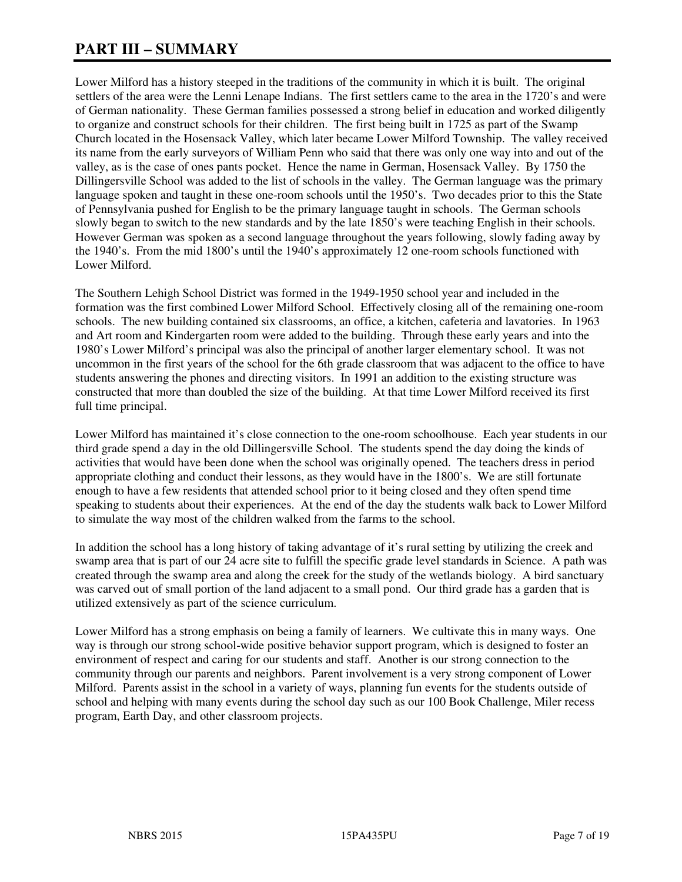## **PART III – SUMMARY**

Lower Milford has a history steeped in the traditions of the community in which it is built. The original settlers of the area were the Lenni Lenape Indians. The first settlers came to the area in the 1720's and were of German nationality. These German families possessed a strong belief in education and worked diligently to organize and construct schools for their children. The first being built in 1725 as part of the Swamp Church located in the Hosensack Valley, which later became Lower Milford Township. The valley received its name from the early surveyors of William Penn who said that there was only one way into and out of the valley, as is the case of ones pants pocket. Hence the name in German, Hosensack Valley. By 1750 the Dillingersville School was added to the list of schools in the valley. The German language was the primary language spoken and taught in these one-room schools until the 1950's. Two decades prior to this the State of Pennsylvania pushed for English to be the primary language taught in schools. The German schools slowly began to switch to the new standards and by the late 1850's were teaching English in their schools. However German was spoken as a second language throughout the years following, slowly fading away by the 1940's. From the mid 1800's until the 1940's approximately 12 one-room schools functioned with Lower Milford.

The Southern Lehigh School District was formed in the 1949-1950 school year and included in the formation was the first combined Lower Milford School. Effectively closing all of the remaining one-room schools. The new building contained six classrooms, an office, a kitchen, cafeteria and lavatories. In 1963 and Art room and Kindergarten room were added to the building. Through these early years and into the 1980's Lower Milford's principal was also the principal of another larger elementary school. It was not uncommon in the first years of the school for the 6th grade classroom that was adjacent to the office to have students answering the phones and directing visitors. In 1991 an addition to the existing structure was constructed that more than doubled the size of the building. At that time Lower Milford received its first full time principal.

Lower Milford has maintained it's close connection to the one-room schoolhouse. Each year students in our third grade spend a day in the old Dillingersville School. The students spend the day doing the kinds of activities that would have been done when the school was originally opened. The teachers dress in period appropriate clothing and conduct their lessons, as they would have in the 1800's. We are still fortunate enough to have a few residents that attended school prior to it being closed and they often spend time speaking to students about their experiences. At the end of the day the students walk back to Lower Milford to simulate the way most of the children walked from the farms to the school.

In addition the school has a long history of taking advantage of it's rural setting by utilizing the creek and swamp area that is part of our 24 acre site to fulfill the specific grade level standards in Science. A path was created through the swamp area and along the creek for the study of the wetlands biology. A bird sanctuary was carved out of small portion of the land adjacent to a small pond. Our third grade has a garden that is utilized extensively as part of the science curriculum.

Lower Milford has a strong emphasis on being a family of learners. We cultivate this in many ways. One way is through our strong school-wide positive behavior support program, which is designed to foster an environment of respect and caring for our students and staff. Another is our strong connection to the community through our parents and neighbors. Parent involvement is a very strong component of Lower Milford. Parents assist in the school in a variety of ways, planning fun events for the students outside of school and helping with many events during the school day such as our 100 Book Challenge, Miler recess program, Earth Day, and other classroom projects.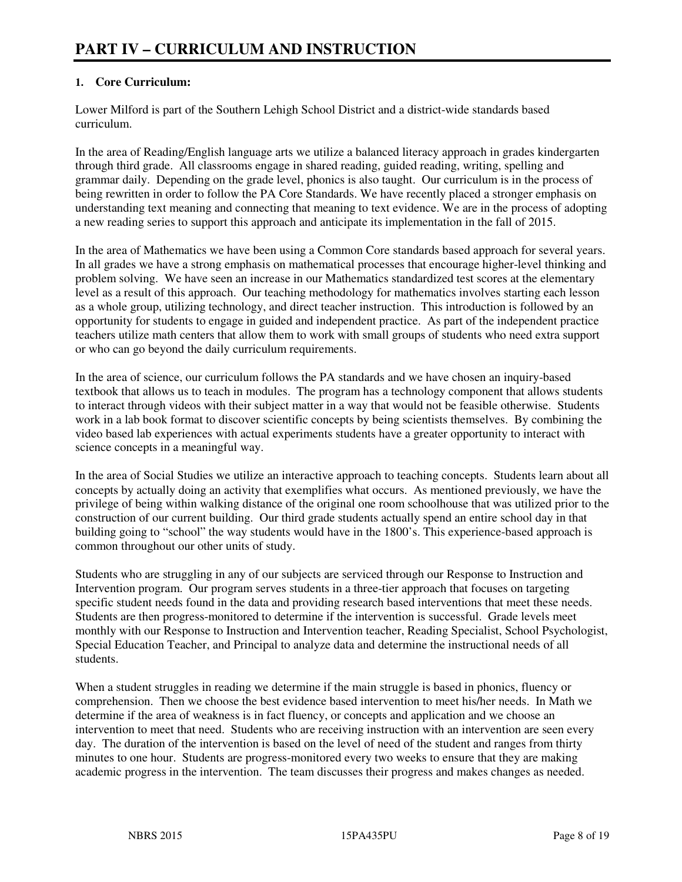#### **1. Core Curriculum:**

Lower Milford is part of the Southern Lehigh School District and a district-wide standards based curriculum.

In the area of Reading/English language arts we utilize a balanced literacy approach in grades kindergarten through third grade. All classrooms engage in shared reading, guided reading, writing, spelling and grammar daily. Depending on the grade level, phonics is also taught. Our curriculum is in the process of being rewritten in order to follow the PA Core Standards. We have recently placed a stronger emphasis on understanding text meaning and connecting that meaning to text evidence. We are in the process of adopting a new reading series to support this approach and anticipate its implementation in the fall of 2015.

In the area of Mathematics we have been using a Common Core standards based approach for several years. In all grades we have a strong emphasis on mathematical processes that encourage higher-level thinking and problem solving. We have seen an increase in our Mathematics standardized test scores at the elementary level as a result of this approach. Our teaching methodology for mathematics involves starting each lesson as a whole group, utilizing technology, and direct teacher instruction. This introduction is followed by an opportunity for students to engage in guided and independent practice. As part of the independent practice teachers utilize math centers that allow them to work with small groups of students who need extra support or who can go beyond the daily curriculum requirements.

In the area of science, our curriculum follows the PA standards and we have chosen an inquiry-based textbook that allows us to teach in modules. The program has a technology component that allows students to interact through videos with their subject matter in a way that would not be feasible otherwise. Students work in a lab book format to discover scientific concepts by being scientists themselves. By combining the video based lab experiences with actual experiments students have a greater opportunity to interact with science concepts in a meaningful way.

In the area of Social Studies we utilize an interactive approach to teaching concepts. Students learn about all concepts by actually doing an activity that exemplifies what occurs. As mentioned previously, we have the privilege of being within walking distance of the original one room schoolhouse that was utilized prior to the construction of our current building. Our third grade students actually spend an entire school day in that building going to "school" the way students would have in the 1800's. This experience-based approach is common throughout our other units of study.

Students who are struggling in any of our subjects are serviced through our Response to Instruction and Intervention program. Our program serves students in a three-tier approach that focuses on targeting specific student needs found in the data and providing research based interventions that meet these needs. Students are then progress-monitored to determine if the intervention is successful. Grade levels meet monthly with our Response to Instruction and Intervention teacher, Reading Specialist, School Psychologist, Special Education Teacher, and Principal to analyze data and determine the instructional needs of all students.

When a student struggles in reading we determine if the main struggle is based in phonics, fluency or comprehension. Then we choose the best evidence based intervention to meet his/her needs. In Math we determine if the area of weakness is in fact fluency, or concepts and application and we choose an intervention to meet that need. Students who are receiving instruction with an intervention are seen every day. The duration of the intervention is based on the level of need of the student and ranges from thirty minutes to one hour. Students are progress-monitored every two weeks to ensure that they are making academic progress in the intervention. The team discusses their progress and makes changes as needed.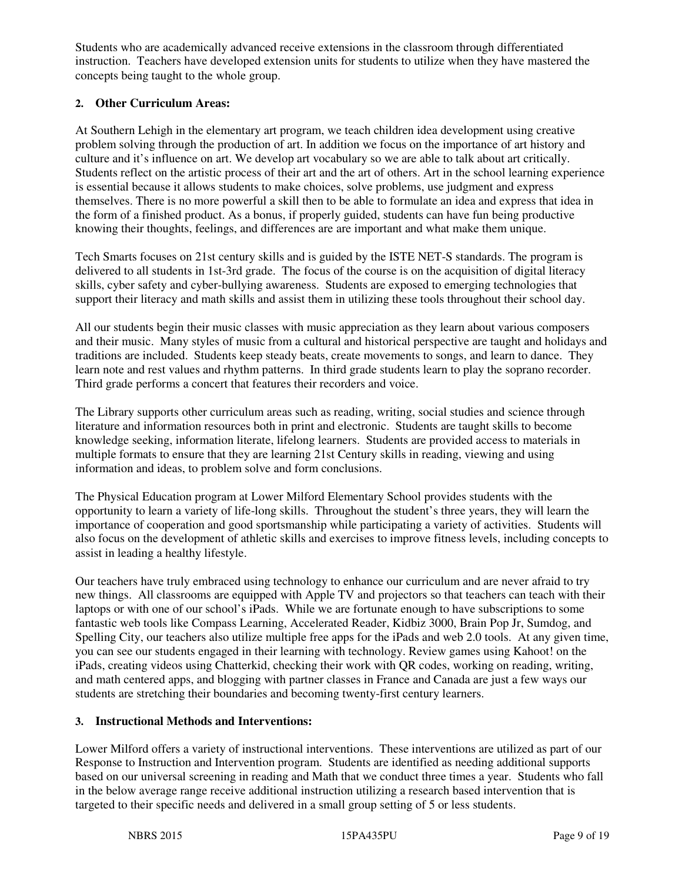Students who are academically advanced receive extensions in the classroom through differentiated instruction. Teachers have developed extension units for students to utilize when they have mastered the concepts being taught to the whole group.

#### **2. Other Curriculum Areas:**

At Southern Lehigh in the elementary art program, we teach children idea development using creative problem solving through the production of art. In addition we focus on the importance of art history and culture and it's influence on art. We develop art vocabulary so we are able to talk about art critically. Students reflect on the artistic process of their art and the art of others. Art in the school learning experience is essential because it allows students to make choices, solve problems, use judgment and express themselves. There is no more powerful a skill then to be able to formulate an idea and express that idea in the form of a finished product. As a bonus, if properly guided, students can have fun being productive knowing their thoughts, feelings, and differences are are important and what make them unique.

Tech Smarts focuses on 21st century skills and is guided by the ISTE NET-S standards. The program is delivered to all students in 1st-3rd grade. The focus of the course is on the acquisition of digital literacy skills, cyber safety and cyber-bullying awareness. Students are exposed to emerging technologies that support their literacy and math skills and assist them in utilizing these tools throughout their school day.

All our students begin their music classes with music appreciation as they learn about various composers and their music. Many styles of music from a cultural and historical perspective are taught and holidays and traditions are included. Students keep steady beats, create movements to songs, and learn to dance. They learn note and rest values and rhythm patterns. In third grade students learn to play the soprano recorder. Third grade performs a concert that features their recorders and voice.

The Library supports other curriculum areas such as reading, writing, social studies and science through literature and information resources both in print and electronic. Students are taught skills to become knowledge seeking, information literate, lifelong learners. Students are provided access to materials in multiple formats to ensure that they are learning 21st Century skills in reading, viewing and using information and ideas, to problem solve and form conclusions.

The Physical Education program at Lower Milford Elementary School provides students with the opportunity to learn a variety of life-long skills. Throughout the student's three years, they will learn the importance of cooperation and good sportsmanship while participating a variety of activities. Students will also focus on the development of athletic skills and exercises to improve fitness levels, including concepts to assist in leading a healthy lifestyle.

Our teachers have truly embraced using technology to enhance our curriculum and are never afraid to try new things. All classrooms are equipped with Apple TV and projectors so that teachers can teach with their laptops or with one of our school's iPads. While we are fortunate enough to have subscriptions to some fantastic web tools like Compass Learning, Accelerated Reader, Kidbiz 3000, Brain Pop Jr, Sumdog, and Spelling City, our teachers also utilize multiple free apps for the iPads and web 2.0 tools. At any given time, you can see our students engaged in their learning with technology. Review games using Kahoot! on the iPads, creating videos using Chatterkid, checking their work with QR codes, working on reading, writing, and math centered apps, and blogging with partner classes in France and Canada are just a few ways our students are stretching their boundaries and becoming twenty-first century learners.

#### **3. Instructional Methods and Interventions:**

Lower Milford offers a variety of instructional interventions. These interventions are utilized as part of our Response to Instruction and Intervention program. Students are identified as needing additional supports based on our universal screening in reading and Math that we conduct three times a year. Students who fall in the below average range receive additional instruction utilizing a research based intervention that is targeted to their specific needs and delivered in a small group setting of 5 or less students.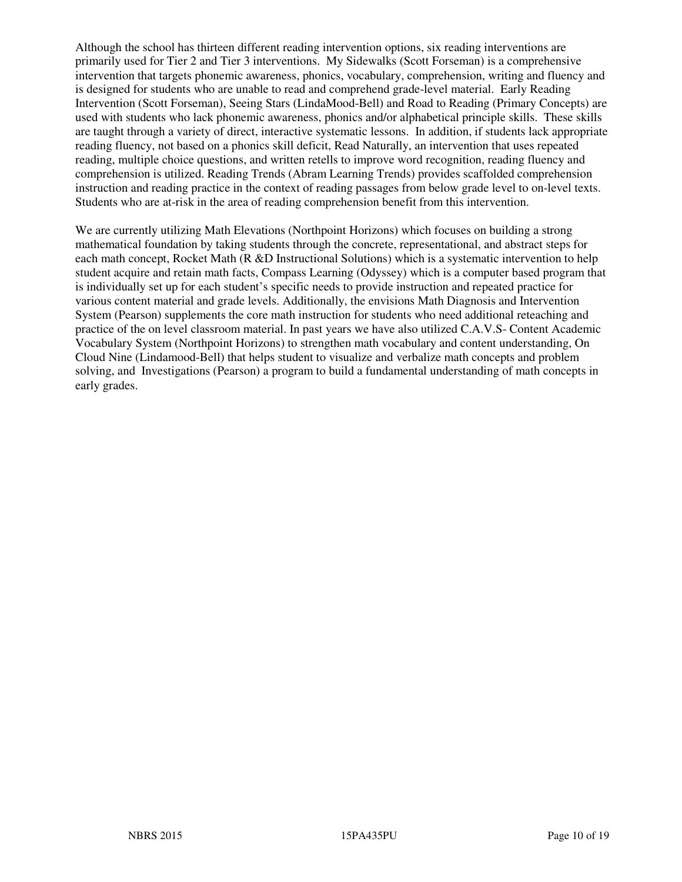Although the school has thirteen different reading intervention options, six reading interventions are primarily used for Tier 2 and Tier 3 interventions. My Sidewalks (Scott Forseman) is a comprehensive intervention that targets phonemic awareness, phonics, vocabulary, comprehension, writing and fluency and is designed for students who are unable to read and comprehend grade-level material. Early Reading Intervention (Scott Forseman), Seeing Stars (LindaMood-Bell) and Road to Reading (Primary Concepts) are used with students who lack phonemic awareness, phonics and/or alphabetical principle skills. These skills are taught through a variety of direct, interactive systematic lessons. In addition, if students lack appropriate reading fluency, not based on a phonics skill deficit, Read Naturally, an intervention that uses repeated reading, multiple choice questions, and written retells to improve word recognition, reading fluency and comprehension is utilized. Reading Trends (Abram Learning Trends) provides scaffolded comprehension instruction and reading practice in the context of reading passages from below grade level to on-level texts. Students who are at-risk in the area of reading comprehension benefit from this intervention.

We are currently utilizing Math Elevations (Northpoint Horizons) which focuses on building a strong mathematical foundation by taking students through the concrete, representational, and abstract steps for each math concept, Rocket Math (R &D Instructional Solutions) which is a systematic intervention to help student acquire and retain math facts, Compass Learning (Odyssey) which is a computer based program that is individually set up for each student's specific needs to provide instruction and repeated practice for various content material and grade levels. Additionally, the envisions Math Diagnosis and Intervention System (Pearson) supplements the core math instruction for students who need additional reteaching and practice of the on level classroom material. In past years we have also utilized C.A.V.S- Content Academic Vocabulary System (Northpoint Horizons) to strengthen math vocabulary and content understanding, On Cloud Nine (Lindamood-Bell) that helps student to visualize and verbalize math concepts and problem solving, and Investigations (Pearson) a program to build a fundamental understanding of math concepts in early grades.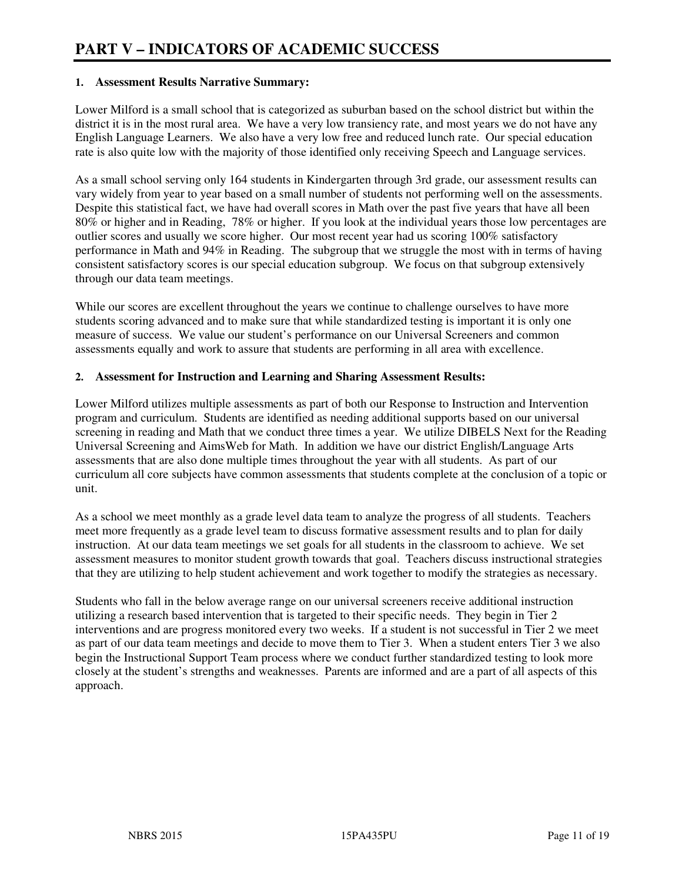#### **1. Assessment Results Narrative Summary:**

Lower Milford is a small school that is categorized as suburban based on the school district but within the district it is in the most rural area. We have a very low transiency rate, and most years we do not have any English Language Learners. We also have a very low free and reduced lunch rate. Our special education rate is also quite low with the majority of those identified only receiving Speech and Language services.

As a small school serving only 164 students in Kindergarten through 3rd grade, our assessment results can vary widely from year to year based on a small number of students not performing well on the assessments. Despite this statistical fact, we have had overall scores in Math over the past five years that have all been 80% or higher and in Reading, 78% or higher. If you look at the individual years those low percentages are outlier scores and usually we score higher. Our most recent year had us scoring 100% satisfactory performance in Math and 94% in Reading. The subgroup that we struggle the most with in terms of having consistent satisfactory scores is our special education subgroup. We focus on that subgroup extensively through our data team meetings.

While our scores are excellent throughout the years we continue to challenge ourselves to have more students scoring advanced and to make sure that while standardized testing is important it is only one measure of success. We value our student's performance on our Universal Screeners and common assessments equally and work to assure that students are performing in all area with excellence.

#### **2. Assessment for Instruction and Learning and Sharing Assessment Results:**

Lower Milford utilizes multiple assessments as part of both our Response to Instruction and Intervention program and curriculum. Students are identified as needing additional supports based on our universal screening in reading and Math that we conduct three times a year. We utilize DIBELS Next for the Reading Universal Screening and AimsWeb for Math. In addition we have our district English/Language Arts assessments that are also done multiple times throughout the year with all students. As part of our curriculum all core subjects have common assessments that students complete at the conclusion of a topic or unit.

As a school we meet monthly as a grade level data team to analyze the progress of all students. Teachers meet more frequently as a grade level team to discuss formative assessment results and to plan for daily instruction. At our data team meetings we set goals for all students in the classroom to achieve. We set assessment measures to monitor student growth towards that goal. Teachers discuss instructional strategies that they are utilizing to help student achievement and work together to modify the strategies as necessary.

Students who fall in the below average range on our universal screeners receive additional instruction utilizing a research based intervention that is targeted to their specific needs. They begin in Tier 2 interventions and are progress monitored every two weeks. If a student is not successful in Tier 2 we meet as part of our data team meetings and decide to move them to Tier 3. When a student enters Tier 3 we also begin the Instructional Support Team process where we conduct further standardized testing to look more closely at the student's strengths and weaknesses. Parents are informed and are a part of all aspects of this approach.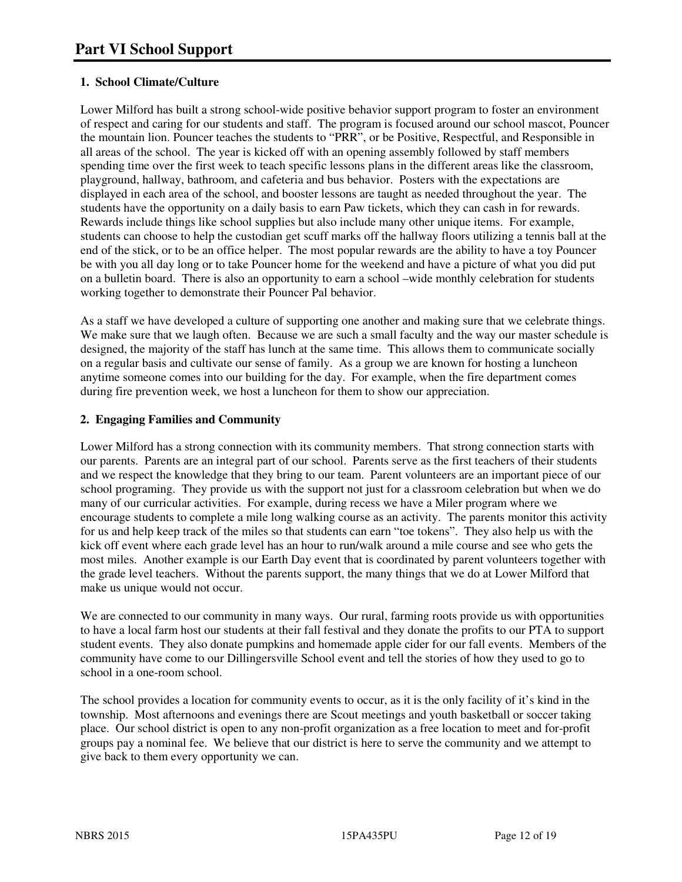#### **1. School Climate/Culture**

Lower Milford has built a strong school-wide positive behavior support program to foster an environment of respect and caring for our students and staff. The program is focused around our school mascot, Pouncer the mountain lion. Pouncer teaches the students to "PRR", or be Positive, Respectful, and Responsible in all areas of the school. The year is kicked off with an opening assembly followed by staff members spending time over the first week to teach specific lessons plans in the different areas like the classroom, playground, hallway, bathroom, and cafeteria and bus behavior. Posters with the expectations are displayed in each area of the school, and booster lessons are taught as needed throughout the year. The students have the opportunity on a daily basis to earn Paw tickets, which they can cash in for rewards. Rewards include things like school supplies but also include many other unique items. For example, students can choose to help the custodian get scuff marks off the hallway floors utilizing a tennis ball at the end of the stick, or to be an office helper. The most popular rewards are the ability to have a toy Pouncer be with you all day long or to take Pouncer home for the weekend and have a picture of what you did put on a bulletin board. There is also an opportunity to earn a school –wide monthly celebration for students working together to demonstrate their Pouncer Pal behavior.

As a staff we have developed a culture of supporting one another and making sure that we celebrate things. We make sure that we laugh often. Because we are such a small faculty and the way our master schedule is designed, the majority of the staff has lunch at the same time. This allows them to communicate socially on a regular basis and cultivate our sense of family. As a group we are known for hosting a luncheon anytime someone comes into our building for the day. For example, when the fire department comes during fire prevention week, we host a luncheon for them to show our appreciation.

#### **2. Engaging Families and Community**

Lower Milford has a strong connection with its community members. That strong connection starts with our parents. Parents are an integral part of our school. Parents serve as the first teachers of their students and we respect the knowledge that they bring to our team. Parent volunteers are an important piece of our school programing. They provide us with the support not just for a classroom celebration but when we do many of our curricular activities. For example, during recess we have a Miler program where we encourage students to complete a mile long walking course as an activity. The parents monitor this activity for us and help keep track of the miles so that students can earn "toe tokens". They also help us with the kick off event where each grade level has an hour to run/walk around a mile course and see who gets the most miles. Another example is our Earth Day event that is coordinated by parent volunteers together with the grade level teachers. Without the parents support, the many things that we do at Lower Milford that make us unique would not occur.

We are connected to our community in many ways. Our rural, farming roots provide us with opportunities to have a local farm host our students at their fall festival and they donate the profits to our PTA to support student events. They also donate pumpkins and homemade apple cider for our fall events. Members of the community have come to our Dillingersville School event and tell the stories of how they used to go to school in a one-room school.

The school provides a location for community events to occur, as it is the only facility of it's kind in the township. Most afternoons and evenings there are Scout meetings and youth basketball or soccer taking place. Our school district is open to any non-profit organization as a free location to meet and for-profit groups pay a nominal fee. We believe that our district is here to serve the community and we attempt to give back to them every opportunity we can.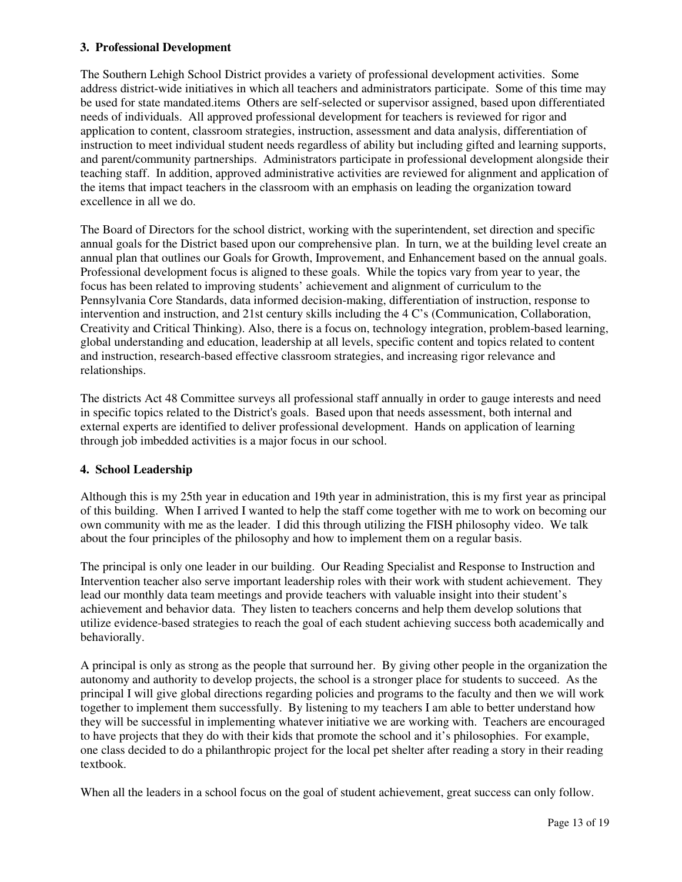#### **3. Professional Development**

The Southern Lehigh School District provides a variety of professional development activities. Some address district-wide initiatives in which all teachers and administrators participate. Some of this time may be used for state mandated.items Others are self-selected or supervisor assigned, based upon differentiated needs of individuals. All approved professional development for teachers is reviewed for rigor and application to content, classroom strategies, instruction, assessment and data analysis, differentiation of instruction to meet individual student needs regardless of ability but including gifted and learning supports, and parent/community partnerships. Administrators participate in professional development alongside their teaching staff. In addition, approved administrative activities are reviewed for alignment and application of the items that impact teachers in the classroom with an emphasis on leading the organization toward excellence in all we do.

The Board of Directors for the school district, working with the superintendent, set direction and specific annual goals for the District based upon our comprehensive plan. In turn, we at the building level create an annual plan that outlines our Goals for Growth, Improvement, and Enhancement based on the annual goals. Professional development focus is aligned to these goals. While the topics vary from year to year, the focus has been related to improving students' achievement and alignment of curriculum to the Pennsylvania Core Standards, data informed decision-making, differentiation of instruction, response to intervention and instruction, and 21st century skills including the 4 C's (Communication, Collaboration, Creativity and Critical Thinking). Also, there is a focus on, technology integration, problem-based learning, global understanding and education, leadership at all levels, specific content and topics related to content and instruction, research-based effective classroom strategies, and increasing rigor relevance and relationships.

The districts Act 48 Committee surveys all professional staff annually in order to gauge interests and need in specific topics related to the District's goals. Based upon that needs assessment, both internal and external experts are identified to deliver professional development. Hands on application of learning through job imbedded activities is a major focus in our school.

#### **4. School Leadership**

Although this is my 25th year in education and 19th year in administration, this is my first year as principal of this building. When I arrived I wanted to help the staff come together with me to work on becoming our own community with me as the leader. I did this through utilizing the FISH philosophy video. We talk about the four principles of the philosophy and how to implement them on a regular basis.

The principal is only one leader in our building. Our Reading Specialist and Response to Instruction and Intervention teacher also serve important leadership roles with their work with student achievement. They lead our monthly data team meetings and provide teachers with valuable insight into their student's achievement and behavior data. They listen to teachers concerns and help them develop solutions that utilize evidence-based strategies to reach the goal of each student achieving success both academically and behaviorally.

A principal is only as strong as the people that surround her. By giving other people in the organization the autonomy and authority to develop projects, the school is a stronger place for students to succeed. As the principal I will give global directions regarding policies and programs to the faculty and then we will work together to implement them successfully. By listening to my teachers I am able to better understand how they will be successful in implementing whatever initiative we are working with. Teachers are encouraged to have projects that they do with their kids that promote the school and it's philosophies. For example, one class decided to do a philanthropic project for the local pet shelter after reading a story in their reading textbook.

When all the leaders in a school focus on the goal of student achievement, great success can only follow.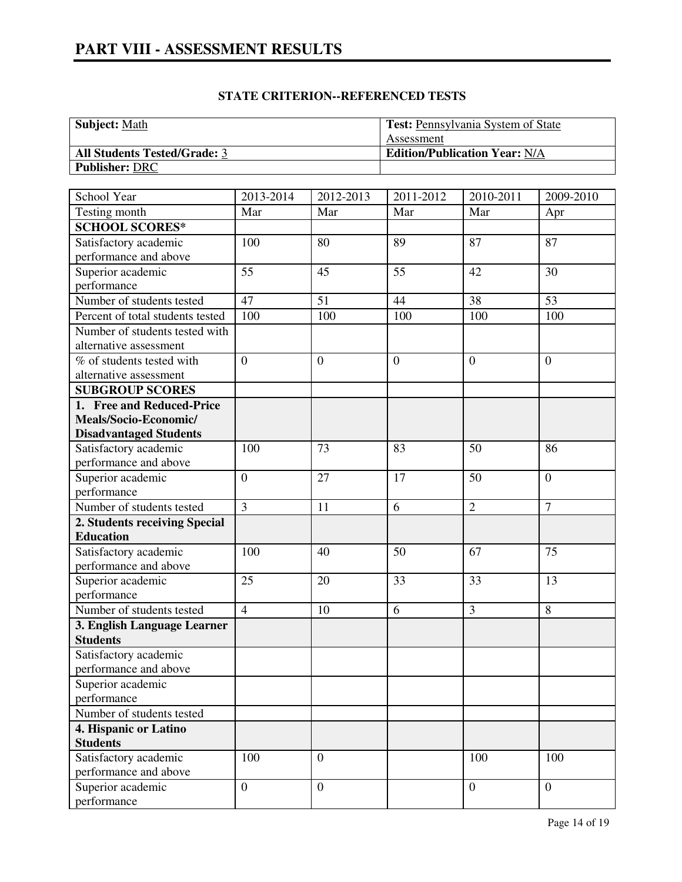| <b>Subject:</b> Math                | <b>Test:</b> Pennsylvania System of State |
|-------------------------------------|-------------------------------------------|
|                                     | Assessment                                |
| <b>All Students Tested/Grade: 3</b> | <b>Edition/Publication Year: N/A</b>      |
| <b>Publisher: DRC</b>               |                                           |

#### **STATE CRITERION--REFERENCED TESTS**

| School Year                      | 2013-2014        | 2012-2013        | 2011-2012      | 2010-2011        | 2009-2010        |
|----------------------------------|------------------|------------------|----------------|------------------|------------------|
| Testing month                    | Mar              | Mar              | Mar            | Mar              | Apr              |
| <b>SCHOOL SCORES*</b>            |                  |                  |                |                  |                  |
| Satisfactory academic            | 100              | 80               | 89             | 87               | 87               |
| performance and above            |                  |                  |                |                  |                  |
| Superior academic                | 55               | 45               | 55             | 42               | 30               |
| performance                      |                  |                  |                |                  |                  |
| Number of students tested        | 47               | 51               | 44             | 38               | 53               |
| Percent of total students tested | 100              | 100              | 100            | 100              | 100              |
| Number of students tested with   |                  |                  |                |                  |                  |
| alternative assessment           |                  |                  |                |                  |                  |
| % of students tested with        | $\overline{0}$   | $\overline{0}$   | $\overline{0}$ | $\overline{0}$   | $\overline{0}$   |
| alternative assessment           |                  |                  |                |                  |                  |
| <b>SUBGROUP SCORES</b>           |                  |                  |                |                  |                  |
| 1. Free and Reduced-Price        |                  |                  |                |                  |                  |
| Meals/Socio-Economic/            |                  |                  |                |                  |                  |
| <b>Disadvantaged Students</b>    |                  |                  |                |                  |                  |
| Satisfactory academic            | 100              | 73               | 83             | 50               | 86               |
| performance and above            |                  |                  |                |                  |                  |
| Superior academic                | $\boldsymbol{0}$ | 27               | 17             | 50               | $\overline{0}$   |
| performance                      |                  |                  |                |                  |                  |
| Number of students tested        | $\overline{3}$   | 11               | 6              | $\overline{2}$   | $\overline{7}$   |
| 2. Students receiving Special    |                  |                  |                |                  |                  |
| <b>Education</b>                 |                  |                  |                |                  |                  |
| Satisfactory academic            | 100              | 40               | 50             | 67               | 75               |
| performance and above            |                  |                  |                |                  |                  |
| Superior academic                | 25               | 20               | 33             | 33               | 13               |
| performance                      |                  |                  |                |                  |                  |
| Number of students tested        | $\overline{4}$   | 10               | 6              | 3                | 8                |
| 3. English Language Learner      |                  |                  |                |                  |                  |
| <b>Students</b>                  |                  |                  |                |                  |                  |
| Satisfactory academic            |                  |                  |                |                  |                  |
| performance and above            |                  |                  |                |                  |                  |
| Superior academic                |                  |                  |                |                  |                  |
| performance                      |                  |                  |                |                  |                  |
| Number of students tested        |                  |                  |                |                  |                  |
| 4. Hispanic or Latino            |                  |                  |                |                  |                  |
| <b>Students</b>                  |                  |                  |                |                  |                  |
| Satisfactory academic            | 100              | $\boldsymbol{0}$ |                | 100              | 100              |
| performance and above            |                  |                  |                |                  |                  |
| Superior academic                | $\boldsymbol{0}$ | $\mathbf{0}$     |                | $\boldsymbol{0}$ | $\boldsymbol{0}$ |
| performance                      |                  |                  |                |                  |                  |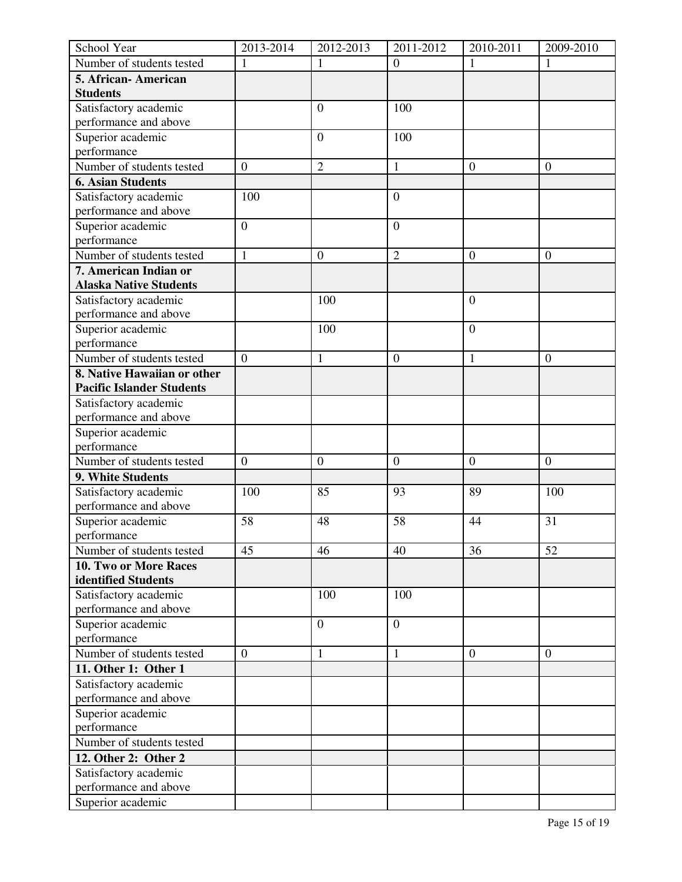| School Year                      | 2013-2014        | 2012-2013        | 2011-2012        | 2010-2011        | 2009-2010        |
|----------------------------------|------------------|------------------|------------------|------------------|------------------|
| Number of students tested        |                  | 1                | $\boldsymbol{0}$ | 1                | 1                |
| 5. African-American              |                  |                  |                  |                  |                  |
| <b>Students</b>                  |                  |                  |                  |                  |                  |
| Satisfactory academic            |                  | $\mathbf{0}$     | 100              |                  |                  |
| performance and above            |                  |                  |                  |                  |                  |
| Superior academic                |                  | $\mathbf{0}$     | 100              |                  |                  |
| performance                      |                  |                  |                  |                  |                  |
| Number of students tested        | $\boldsymbol{0}$ | $\overline{2}$   | $\mathbf{1}$     | $\boldsymbol{0}$ | $\boldsymbol{0}$ |
| <b>6. Asian Students</b>         |                  |                  |                  |                  |                  |
| Satisfactory academic            | 100              |                  | $\overline{0}$   |                  |                  |
| performance and above            |                  |                  |                  |                  |                  |
| Superior academic                | $\boldsymbol{0}$ |                  | $\boldsymbol{0}$ |                  |                  |
| performance                      |                  |                  |                  |                  |                  |
| Number of students tested        | $\mathbf{1}$     | $\boldsymbol{0}$ | $\overline{2}$   | $\boldsymbol{0}$ | $\boldsymbol{0}$ |
| 7. American Indian or            |                  |                  |                  |                  |                  |
| <b>Alaska Native Students</b>    |                  |                  |                  |                  |                  |
| Satisfactory academic            |                  | 100              |                  | $\boldsymbol{0}$ |                  |
| performance and above            |                  |                  |                  |                  |                  |
| Superior academic                |                  | 100              |                  | $\overline{0}$   |                  |
| performance                      |                  |                  |                  |                  |                  |
| Number of students tested        | $\boldsymbol{0}$ | $\mathbf{1}$     | $\overline{0}$   | $\mathbf{1}$     | $\boldsymbol{0}$ |
| 8. Native Hawaiian or other      |                  |                  |                  |                  |                  |
| <b>Pacific Islander Students</b> |                  |                  |                  |                  |                  |
| Satisfactory academic            |                  |                  |                  |                  |                  |
| performance and above            |                  |                  |                  |                  |                  |
| Superior academic                |                  |                  |                  |                  |                  |
| performance                      |                  |                  |                  |                  |                  |
| Number of students tested        | $\boldsymbol{0}$ | $\boldsymbol{0}$ | $\overline{0}$   | $\boldsymbol{0}$ | $\boldsymbol{0}$ |
| 9. White Students                |                  |                  |                  |                  |                  |
| Satisfactory academic            | 100              | 85               | 93               | 89               | 100              |
| performance and above            |                  |                  |                  |                  |                  |
| Superior academic                | 58               | 48               | 58               | 44               | 31               |
| performance                      |                  |                  |                  |                  |                  |
| Number of students tested        | 45               | 46               | 40               | 36               | 52               |
| 10. Two or More Races            |                  |                  |                  |                  |                  |
| identified Students              |                  |                  |                  |                  |                  |
| Satisfactory academic            |                  | 100              | 100              |                  |                  |
| performance and above            |                  |                  |                  |                  |                  |
| Superior academic                |                  | $\mathbf{0}$     | $\boldsymbol{0}$ |                  |                  |
| performance                      |                  |                  |                  |                  |                  |
| Number of students tested        | $\overline{0}$   | $\mathbf{1}$     | $\mathbf{1}$     | $\theta$         | $\overline{0}$   |
| 11. Other 1: Other 1             |                  |                  |                  |                  |                  |
| Satisfactory academic            |                  |                  |                  |                  |                  |
| performance and above            |                  |                  |                  |                  |                  |
| Superior academic                |                  |                  |                  |                  |                  |
| performance                      |                  |                  |                  |                  |                  |
| Number of students tested        |                  |                  |                  |                  |                  |
| 12. Other 2: Other 2             |                  |                  |                  |                  |                  |
| Satisfactory academic            |                  |                  |                  |                  |                  |
| performance and above            |                  |                  |                  |                  |                  |
| Superior academic                |                  |                  |                  |                  |                  |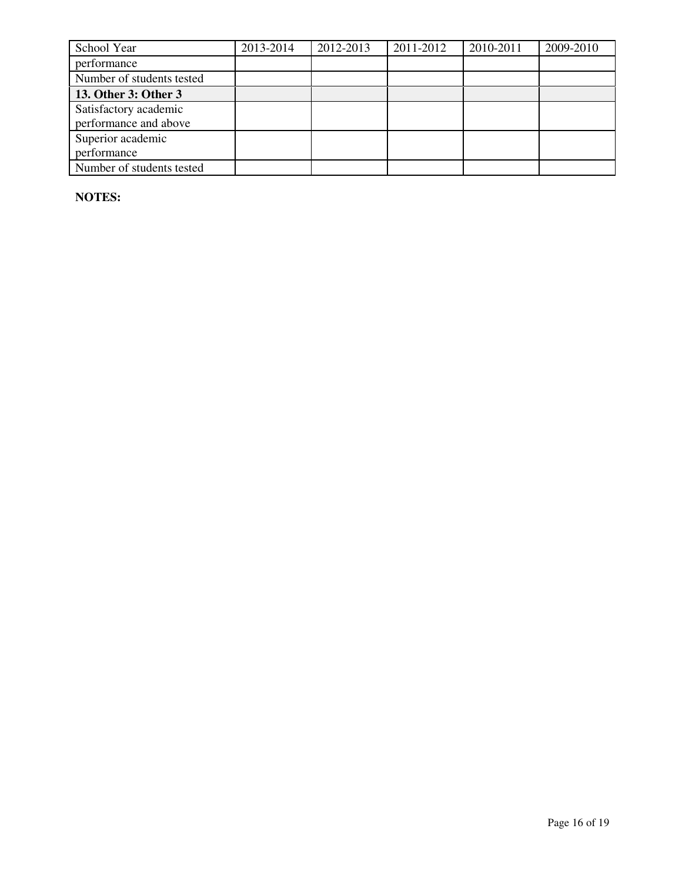| School Year               | 2013-2014 | 2012-2013 | 2011-2012 | 2010-2011 | 2009-2010 |
|---------------------------|-----------|-----------|-----------|-----------|-----------|
| performance               |           |           |           |           |           |
| Number of students tested |           |           |           |           |           |
| 13. Other 3: Other 3      |           |           |           |           |           |
| Satisfactory academic     |           |           |           |           |           |
| performance and above     |           |           |           |           |           |
| Superior academic         |           |           |           |           |           |
| performance               |           |           |           |           |           |
| Number of students tested |           |           |           |           |           |

**NOTES:**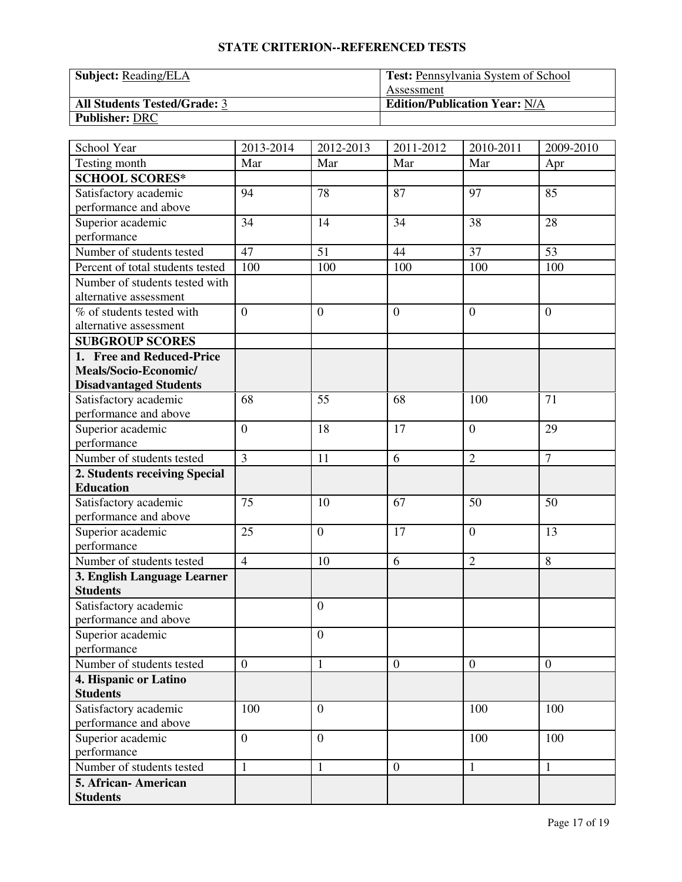#### **STATE CRITERION--REFERENCED TESTS**

| <b>Subject:</b> Reading/ELA         | <b>Test:</b> Pennsylvania System of School |
|-------------------------------------|--------------------------------------------|
|                                     | Assessment                                 |
| <b>All Students Tested/Grade: 3</b> | <b>Edition/Publication Year: N/A</b>       |
| <b>Publisher: DRC</b>               |                                            |

| School Year                      | 2013-2014        | 2012-2013        | 2011-2012        | 2010-2011        | 2009-2010       |
|----------------------------------|------------------|------------------|------------------|------------------|-----------------|
| Testing month                    | Mar              | Mar              | Mar              | Mar              | Apr             |
| <b>SCHOOL SCORES*</b>            |                  |                  |                  |                  |                 |
| Satisfactory academic            | 94               | 78               | 87               | 97               | 85              |
| performance and above            |                  |                  |                  |                  |                 |
| Superior academic                | 34               | 14               | 34               | 38               | 28              |
| performance                      |                  |                  |                  |                  |                 |
| Number of students tested        | 47               | 51               | 44               | 37               | $\overline{53}$ |
| Percent of total students tested | 100              | 100              | 100              | 100              | 100             |
| Number of students tested with   |                  |                  |                  |                  |                 |
| alternative assessment           |                  |                  |                  |                  |                 |
| % of students tested with        | $\overline{0}$   | $\overline{0}$   | $\overline{0}$   | $\theta$         | $\overline{0}$  |
| alternative assessment           |                  |                  |                  |                  |                 |
| <b>SUBGROUP SCORES</b>           |                  |                  |                  |                  |                 |
| 1. Free and Reduced-Price        |                  |                  |                  |                  |                 |
| Meals/Socio-Economic/            |                  |                  |                  |                  |                 |
| <b>Disadvantaged Students</b>    |                  |                  |                  |                  |                 |
| Satisfactory academic            | 68               | 55               | 68               | 100              | 71              |
| performance and above            |                  |                  |                  |                  |                 |
| Superior academic                | $\overline{0}$   | 18               | 17               | $\boldsymbol{0}$ | 29              |
| performance                      |                  |                  |                  |                  |                 |
| Number of students tested        | $\overline{3}$   | 11               | 6                | $\overline{2}$   | $\overline{7}$  |
| 2. Students receiving Special    |                  |                  |                  |                  |                 |
| <b>Education</b>                 |                  |                  |                  |                  |                 |
| Satisfactory academic            | 75               | 10               | 67               | 50               | 50              |
| performance and above            |                  |                  |                  |                  |                 |
| Superior academic                | 25               | $\overline{0}$   | 17               | $\overline{0}$   | 13              |
| performance                      |                  |                  |                  |                  |                 |
| Number of students tested        | $\overline{4}$   | 10               | 6                | $\overline{2}$   | 8               |
| 3. English Language Learner      |                  |                  |                  |                  |                 |
| <b>Students</b>                  |                  |                  |                  |                  |                 |
| Satisfactory academic            |                  | $\boldsymbol{0}$ |                  |                  |                 |
| performance and above            |                  |                  |                  |                  |                 |
| Superior academic                |                  | $\boldsymbol{0}$ |                  |                  |                 |
| performance                      |                  |                  |                  |                  |                 |
| Number of students tested        | $\boldsymbol{0}$ | 1                | $\mathbf{0}$     | $\mathbf{0}$     | $\mathbf{0}$    |
| 4. Hispanic or Latino            |                  |                  |                  |                  |                 |
| <b>Students</b>                  |                  |                  |                  |                  |                 |
| Satisfactory academic            | 100              | $\overline{0}$   |                  | 100              | 100             |
| performance and above            |                  |                  |                  |                  |                 |
| Superior academic                | $\overline{0}$   | $\theta$         |                  | 100              | 100             |
| performance                      |                  |                  |                  |                  |                 |
| Number of students tested        | $\mathbf{1}$     | $\mathbf{1}$     | $\boldsymbol{0}$ | $\mathbf{1}$     | $\mathbf{1}$    |
| 5. African-American              |                  |                  |                  |                  |                 |
| <b>Students</b>                  |                  |                  |                  |                  |                 |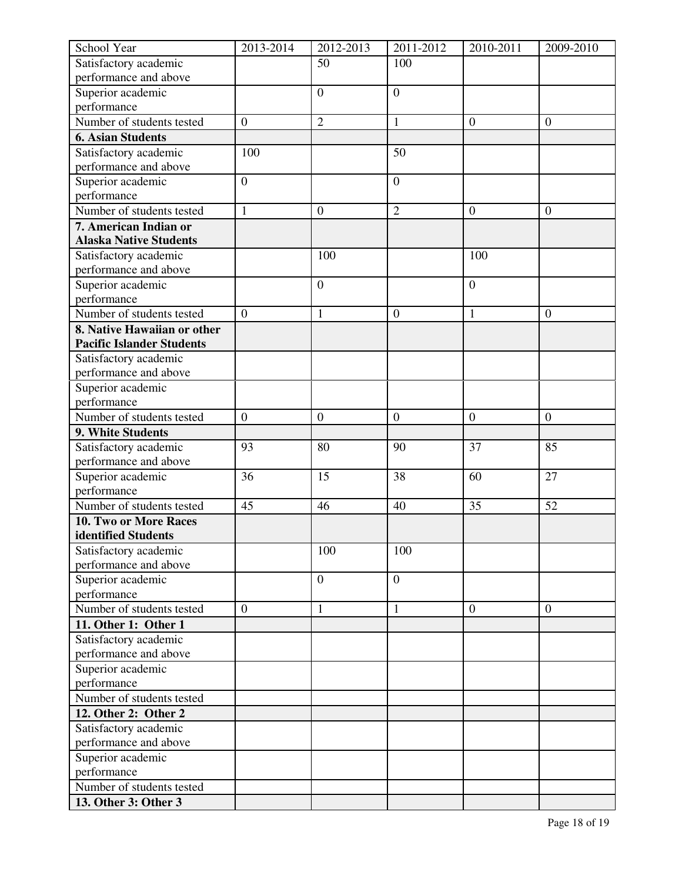| School Year                                    | 2013-2014        | 2012-2013        | 2011-2012        | 2010-2011        | 2009-2010        |
|------------------------------------------------|------------------|------------------|------------------|------------------|------------------|
| Satisfactory academic                          |                  | 50               | 100              |                  |                  |
| performance and above                          |                  |                  |                  |                  |                  |
| Superior academic                              |                  | $\overline{0}$   | $\overline{0}$   |                  |                  |
| performance                                    |                  |                  |                  |                  |                  |
| Number of students tested                      | $\boldsymbol{0}$ | $\overline{2}$   | 1                | $\boldsymbol{0}$ | $\boldsymbol{0}$ |
| <b>6. Asian Students</b>                       |                  |                  |                  |                  |                  |
| Satisfactory academic                          | 100              |                  | 50               |                  |                  |
| performance and above                          |                  |                  |                  |                  |                  |
| Superior academic                              | $\boldsymbol{0}$ |                  | $\boldsymbol{0}$ |                  |                  |
| performance                                    |                  |                  |                  |                  |                  |
| Number of students tested                      | $\mathbf{1}$     | $\mathbf{0}$     | $\overline{2}$   | $\boldsymbol{0}$ | $\overline{0}$   |
| 7. American Indian or                          |                  |                  |                  |                  |                  |
| <b>Alaska Native Students</b>                  |                  |                  |                  |                  |                  |
| Satisfactory academic                          |                  | 100              |                  | 100              |                  |
| performance and above                          |                  |                  |                  |                  |                  |
| Superior academic                              |                  | $\overline{0}$   |                  | $\overline{0}$   |                  |
| performance                                    |                  |                  |                  |                  |                  |
| Number of students tested                      | $\boldsymbol{0}$ | $\mathbf{1}$     | $\boldsymbol{0}$ | $\mathbf{1}$     | $\boldsymbol{0}$ |
| 8. Native Hawaiian or other                    |                  |                  |                  |                  |                  |
| <b>Pacific Islander Students</b>               |                  |                  |                  |                  |                  |
| Satisfactory academic                          |                  |                  |                  |                  |                  |
| performance and above                          |                  |                  |                  |                  |                  |
| Superior academic                              |                  |                  |                  |                  |                  |
| performance                                    |                  |                  |                  |                  |                  |
| Number of students tested                      | $\boldsymbol{0}$ | $\overline{0}$   | $\boldsymbol{0}$ | $\boldsymbol{0}$ | $\boldsymbol{0}$ |
| 9. White Students                              |                  |                  |                  |                  |                  |
| Satisfactory academic<br>performance and above | 93               | 80               | 90               | 37               | 85               |
|                                                | 36               | 15               | 38               | 60               | 27               |
| Superior academic<br>performance               |                  |                  |                  |                  |                  |
| Number of students tested                      | 45               | 46               | 40               | 35               | 52               |
| 10. Two or More Races                          |                  |                  |                  |                  |                  |
| identified Students                            |                  |                  |                  |                  |                  |
| Satisfactory academic                          |                  | 100              | 100              |                  |                  |
| performance and above                          |                  |                  |                  |                  |                  |
| Superior academic                              |                  | $\boldsymbol{0}$ | $\boldsymbol{0}$ |                  |                  |
| performance                                    |                  |                  |                  |                  |                  |
| Number of students tested                      | $\boldsymbol{0}$ | $\mathbf{1}$     | $\mathbf{1}$     | $\overline{0}$   | $\mathbf{0}$     |
| 11. Other 1: Other 1                           |                  |                  |                  |                  |                  |
| Satisfactory academic                          |                  |                  |                  |                  |                  |
| performance and above                          |                  |                  |                  |                  |                  |
| Superior academic                              |                  |                  |                  |                  |                  |
| performance                                    |                  |                  |                  |                  |                  |
| Number of students tested                      |                  |                  |                  |                  |                  |
| 12. Other 2: Other 2                           |                  |                  |                  |                  |                  |
| Satisfactory academic                          |                  |                  |                  |                  |                  |
| performance and above                          |                  |                  |                  |                  |                  |
| Superior academic                              |                  |                  |                  |                  |                  |
| performance                                    |                  |                  |                  |                  |                  |
| Number of students tested                      |                  |                  |                  |                  |                  |
| 13. Other 3: Other 3                           |                  |                  |                  |                  |                  |